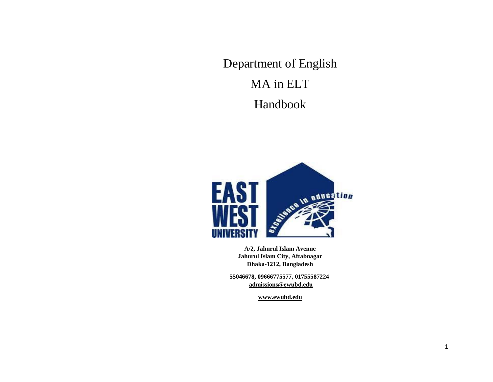Department of English MA in ELT Handbook



**A/2, Jahurul Islam Avenue Jahurul Islam City, Aftabnagar Dhaka-1212, Bangladesh**

**55046678, 09666775577, 01755587224 [admissions@ewubd.edu](mailto:admissions@ewubd.edu)**

**[www.ewubd.edu](http://www.ewubd.edu/)**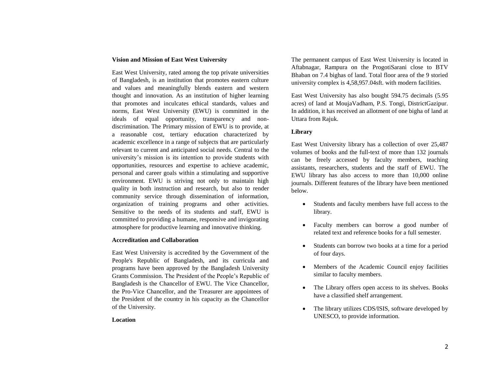#### **Vision and Mission of East West University**

East West University, rated among the top private universities of Bangladesh, is an institution that promotes eastern culture and values and meaningfully blends eastern and western thought and innovation. As an institution of higher learning that promotes and inculcates ethical standards, values and norms, East West University (EWU) is committed in the ideals of equal opportunity, transparency and nondiscrimination. The Primary mission of EWU is to provide, at a reasonable cost, tertiary education characterized by academic excellence in a range of subjects that are particularly relevant to current and anticipated social needs. Central to the university's mission is its intention to provide students with opportunities, resources and expertise to achieve academic, personal and career goals within a stimulating and supportive environment. EWU is striving not only to maintain high quality in both instruction and research, but also to render community service through dissemination of information, organization of training programs and other activities. Sensitive to the needs of its students and staff, EWU is committed to providing a humane, responsive and invigorating atmosphere for productive learning and innovative thinking.

### **Accreditation and Collaboration**

East West University is accredited by the Government of the People's Republic of Bangladesh, and its curricula and programs have been approved by the Bangladesh University Grants Commission. The President of the People's Republic of Bangladesh is the Chancellor of EWU. The Vice Chancellor, the Pro-Vice Chancellor, and the Treasurer are appointees of the President of the country in his capacity as the Chancellor of the University.

#### **Location**

The permanent campus of East West University is located in Aftabnagar, Rampura on the ProgotiSarani close to BTV Bhaban on 7.4 bighas of land. Total floor area of the 9 storied university complex is 4,58,957.04sft. with modern facilities.

East West University has also bought 594.75 decimals (5.95 acres) of land at MoujaVadham, P.S. Tongi, DistrictGazipur. In addition, it has received an allotment of one bigha of land at Uttara from Rajuk.

### **Library**

East West University library has a collection of over 25,487 volumes of books and the full-text of more than 132 journals can be freely accessed by faculty members, teaching assistants, researchers, students and the staff of EWU. The EWU library has also access to more than 10,000 online journals. Different features of the library have been mentioned below.

- Students and faculty members have full access to the library.
- Faculty members can borrow a good number of related text and reference books for a full semester.
- Students can borrow two books at a time for a period of four days.
- Members of the Academic Council enjoy facilities similar to faculty members.
- The Library offers open access to its shelves. Books have a classified shelf arrangement.
- The library utilizes CDS/ISIS, software developed by UNESCO, to provide information.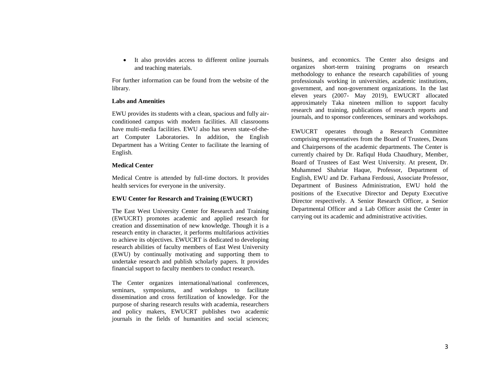It also provides access to different online journals and teaching materials.

For further information can be found from the website of the library.

#### **Labs and Amenities**

EWU provides its students with a clean, spacious and fully airconditioned campus with modern facilities. All classrooms have multi-media facilities. EWU also has seven state-of-theart Computer Laboratories. In addition, the English Department has a Writing Center to facilitate the learning of English.

#### **Medical Center**

Medical Centre is attended by full-time doctors. It provides health services for everyone in the university.

#### **EWU Center for Research and Training (EWUCRT)**

The East West University Center for Research and Training (EWUCRT) promotes academic and applied research for creation and dissemination of new knowledge. Though it is a research entity in character, it performs multifarious activities to achieve its objectives. EWUCRT is dedicated to developing research abilities of faculty members of East West University (EWU) by continually motivating and supporting them to undertake research and publish scholarly papers. It provides financial support to faculty members to conduct research.

The Center organizes international/national conferences, seminars, symposiums, and workshops to facilitate dissemination and cross fertilization of knowledge. For the purpose of sharing research results with academia, researchers and policy makers, EWUCRT publishes two academic journals in the fields of humanities and social sciences; business, and economics. The Center also designs and organizes short-term training programs on research methodology to enhance the research capabilities of young professionals working in universities, academic institutions, government, and non-government organizations. In the last eleven years (2007- May 2019), EWUCRT allocated approximately Taka nineteen million to support faculty research and training, publications of research reports and journals, and to sponsor conferences, seminars and workshops.

EWUCRT operates through a Research Committee comprising representatives from the Board of Trustees, Deans and Chairpersons of the academic departments. The Center is currently chaired by Dr. Rafiqul Huda Chaudhury, Member, Board of Trustees of East West University. At present, Dr. Muhammed Shahriar Haque, Professor, Department of English, EWU and Dr. Farhana Ferdousi, Associate Professor, Department of Business Administration, EWU hold the positions of the Executive Director and Deputy Executive Director respectively. A Senior Research Officer, a Senior Departmental Officer and a Lab Officer assist the Center in carrying out its academic and administrative activities.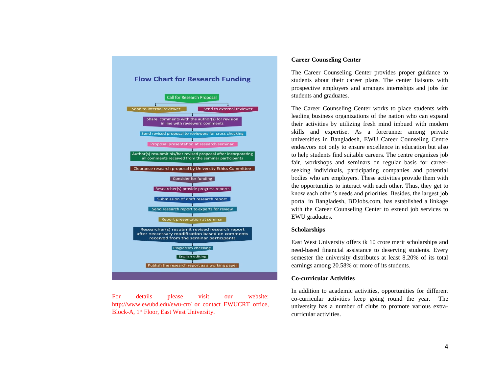

For details please visit our website: <http://www.ewubd.edu/ewu-crt/> or contact EWUCRT office, Block-A, 1st Floor, East West University.

### **Career Counseling Center**

The Career Counseling Center provides proper guidance to students about their career plans. The center liaisons with prospective employers and arranges internships and jobs for students and graduates.

The Career Counseling Center works to place students with leading business organizations of the nation who can expand their activities by utilizing fresh mind imbued with modern skills and expertise. As a forerunner among private universities in Bangladesh, EWU Career Counseling Centre endeavors not only to ensure excellence in education but also to help students find suitable careers. The centre organizes job fair, workshops and seminars on regular basis for careerseeking individuals, participating companies and potential bodies who are employers. These activities provide them with the opportunities to interact with each other. Thus, they get to know each other's needs and priorities. Besides, the largest job portal in Bangladesh, BDJobs.com, has established a linkage with the Career Counseling Center to extend job services to EWU graduates.

#### **Scholarships**

East West University offers tk 10 crore merit scholarships and need-based financial assistance to deserving students. Every semester the university distributes at least 8.20% of its total earnings among 20.58% or more of its students.

### **Co-curricular Activities**

In addition to academic activities, opportunities for different co-curricular activities keep going round the year. The university has a number of clubs to promote various extracurricular activities.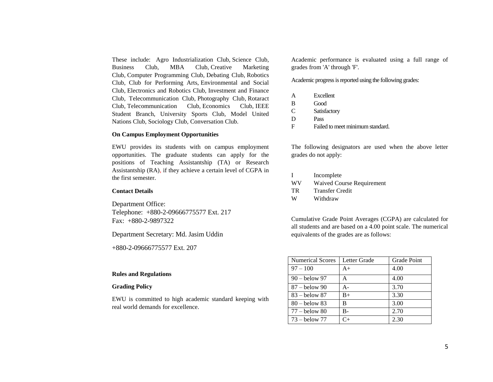These include: Agro Industrialization Club, Science Club, Business Club, MBA Club, Creative Marketing Club, Computer Programming Club, Debating Club, Robotics Club, Club for Performing Arts, Environmental and Social Club, Electronics and Robotics Club, Investment and Finance Club, Telecommunication Club, Photography Club, Rotaract Club, Telecommunication Club, Economics Club, IEEE Student Branch, University Sports Club, Model United Nations Club, Sociology Club, Conversation Club.

#### **On Campus Employment Opportunities**

EWU provides its students with on campus employment opportunities. The graduate students can apply for the positions of Teaching Assistantship (TA) or Research Assistantship (RA), if they achieve a certain level of CGPA in the first semester.

#### **Contact Details**

Department Office: Telephone: +880-2-09666775577 Ext. 217 Fax: +880-2-9897322

Department Secretary: Md. Jasim Uddin

+880-2-09666775577 Ext. 207

#### **Rules and Regulations**

#### **Grading Policy**

EWU is committed to high academic standard keeping with real world demands for excellence.

Academic performance is evaluated using a full range of grades from 'A' through 'F'.

Academic progress is reported using the following grades:

| A             | <b>Excellent</b>                 |
|---------------|----------------------------------|
| B             | Good                             |
| $\mathcal{C}$ | Satisfactory                     |
| D             | Pass                             |
| E             | Failed to meet minimum standard. |

The following designators are used when the above letter grades do not apply:

|     | Incomplete                       |
|-----|----------------------------------|
| WV  | <b>Waived Course Requirement</b> |
| TR. | <b>Transfer Credit</b>           |
| W   | Withdraw                         |

Cumulative Grade Point Averages (CGPA) are calculated for all students and are based on a 4.00 point scale. The numerical equivalents of the grades are as follows:

| <b>Numerical Scores</b> | Letter Grade | Grade Point |
|-------------------------|--------------|-------------|
| $97 - 100$              | $A+$         | 4.00        |
| $90 -$ below 97         | A            | 4.00        |
| $87 -$ below 90         | А-           | 3.70        |
| $83 -$ below 87         | $B+$         | 3.30        |
| $80 -$ below 83         | в            | 3.00        |
| $177 -$ below 80        | B-           | 2.70        |
| $\sqrt{73}$ – below 77  | $C_{+}$      | 2.30        |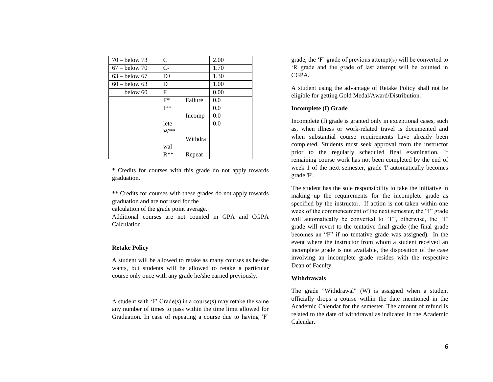| $70 -$ below 73 | C        |         | 2.00 |
|-----------------|----------|---------|------|
| $67 -$ below 70 | $C-$     |         | 1.70 |
| $63 -$ below 67 | $D+$     |         | 1.30 |
| $60 -$ below 63 | D        |         | 1.00 |
| below 60        | F        |         | 0.00 |
|                 | $F^*$    | Failure | 0.0  |
|                 | $I**$    |         | 0.0  |
|                 |          | Incomp  | 0.0  |
|                 | lete     |         | 0.0  |
|                 | $W^{**}$ |         |      |
|                 |          | Withdra |      |
|                 | wal      |         |      |
|                 | $R**$    | Repeat  |      |

\* Credits for courses with this grade do not apply towards graduation.

\*\* Credits for courses with these grades do not apply towards graduation and are not used for the

calculation of the grade point average.

Additional courses are not counted in GPA and CGPA Calculation

### **Retake Policy**

A student will be allowed to retake as many courses as he/she wants, but students will be allowed to retake a particular course only once with any grade he/she earned previously.

A student with 'F' Grade(s) in a course(s) may retake the same any number of times to pass within the time limit allowed for Graduation. In case of repeating a course due to having 'F' grade, the 'F' grade of previous attempt(s) will be converted to 'R grade and the grade of last attempt will be counted in CGPA.

A student using the advantage of Retake Policy shall not be eligible for getting Gold Medal/Award/Distribution.

#### **Incomplete (I) Grade**

Incomplete (I) grade is granted only in exceptional cases, such as, when illness or work-related travel is documented and when substantial course requirements have already been completed. Students must seek approval from the instructor prior to the regularly scheduled final examination. If remaining course work has not been completed by the end of week 1 of the next semester, grade 'I' automatically becomes grade 'F'.

The student has the sole responsibility to take the initiative in making up the requirements for the incomplete grade as specified by the instructor. If action is not taken within one week of the commencement of the next semester, the "I" grade will automatically be converted to "F", otherwise, the "I" grade will revert to the tentative final grade (the final grade becomes an "F" if no tentative grade was assigned). In the event where the instructor from whom a student received an incomplete grade is not available, the disposition of the case involving an incomplete grade resides with the respective Dean of Faculty.

#### **Withdrawals**

The grade "Withdrawal" (W) is assigned when a student officially drops a course within the date mentioned in the Academic Calendar for the semester. The amount of refund is related to the date of withdrawal as indicated in the Academic Calendar.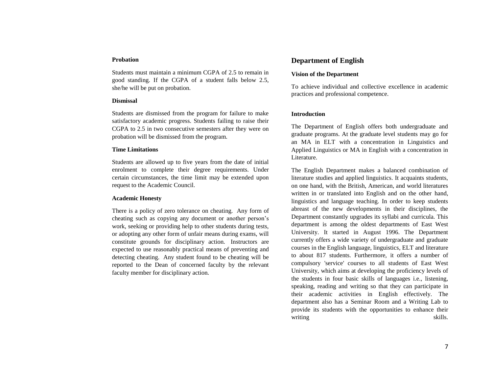#### **Probation**

Students must maintain a minimum CGPA of 2.5 to remain in good standing. If the CGPA of a student falls below 2.5, she/he will be put on probation.

#### **Dismissal**

Students are dismissed from the program for failure to make satisfactory academic progress. Students failing to raise their CGPA to 2.5 in two consecutive semesters after they were on probation will be dismissed from the program.

### **Time Limitations**

Students are allowed up to five years from the date of initial enrolment to complete their degree requirements. Under certain circumstances, the time limit may be extended upon request to the Academic Council.

### **Academic Honesty**

There is a policy of zero tolerance on cheating. Any form of cheating such as copying any document or another person's work, seeking or providing help to other students during tests, or adopting any other form of unfair means during exams, will constitute grounds for disciplinary action. Instructors are expected to use reasonably practical means of preventing and detecting cheating. Any student found to be cheating will be reported to the Dean of concerned faculty by the relevant faculty member for disciplinary action.

# **Department of English**

### **Vision of the Department**

To achieve individual and collective excellence in academic practices and professional competence.

### **Introduction**

The Department of English offers both undergraduate and graduate programs. At the graduate level students may go for an MA in ELT with a concentration in Linguistics and Applied Linguistics or MA in English with a concentration in Literature.

The English Department makes a balanced combination of literature studies and applied linguistics. It acquaints students, on one hand, with the British, American, and world literatures written in or translated into English and on the other hand, linguistics and language teaching. In order to keep students abreast of the new developments in their disciplines, the Department constantly upgrades its syllabi and curricula. This department is among the oldest departments of East West University. It started in August 1996. The Department currently offers a wide variety of undergraduate and graduate courses in the English language, linguistics, ELT and literature to about 817 students. Furthermore, it offers a number of compulsory 'service' courses to all students of East West University, which aims at developing the proficiency levels of the students in four basic skills of languages i.e., listening, speaking, reading and writing so that they can participate in their academic activities in English effectively. The department also has a Seminar Room and a Writing Lab to provide its students with the opportunities to enhance their writing skills.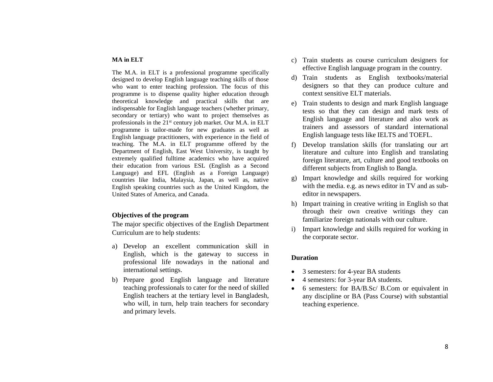### **MA in ELT**

The M.A. in ELT is a professional programme specifically designed to develop English language teaching skills of those who want to enter teaching profession. The focus of this programme is to dispense quality higher education through theoretical knowledge and practical skills that are indispensable for English language teachers (whether primary, secondary or tertiary) who want to project themselves as professionals in the 21st century job market. Our M.A. in ELT programme is tailor-made for new graduates as well as English language practitioners, with experience in the field of teaching. The M.A. in ELT programme offered by the Department of English, East West University, is taught by extremely qualified fulltime academics who have acquired their education from various ESL (English as a Second Language) and EFL (English as a Foreign Language) countries like India, Malaysia, Japan, as well as, native English speaking countries such as the United Kingdom, the United States of America, and Canada.

# **Objectives of the program**

The major specific objectives of the English Department Curriculum are to help students:

- a) Develop an excellent communication skill in English, which is the gateway to success in professional life nowadays in the national and international settings.
- b) Prepare good English language and literature teaching professionals to cater for the need of skilled English teachers at the tertiary level in Bangladesh, who will, in turn, help train teachers for secondary and primary levels.
- c) Train students as course curriculum designers for effective English language program in the country.
- d) Train students as English textbooks/material designers so that they can produce culture and context sensitive ELT materials.
- e) Train students to design and mark English language tests so that they can design and mark tests of English language and literature and also work as trainers and assessors of standard international English language tests like IELTS and TOEFL.
- f) Develop translation skills (for translating our art literature and culture into English and translating foreign literature, art, culture and good textbooks on different subjects from English to Bangla.
- g) Impart knowledge and skills required for working with the media. e.g. as news editor in TV and as subeditor in newspapers.
- h) Impart training in creative writing in English so that through their own creative writings they can familiarize foreign nationals with our culture.
- i) Impart knowledge and skills required for working in the corporate sector.

### **Duration**

- 3 semesters: for 4-year BA students
- 4 semesters: for 3-year BA students.
- 6 semesters: for BA/B.Sc/ B.Com or equivalent in any discipline or BA (Pass Course) with substantial teaching experience.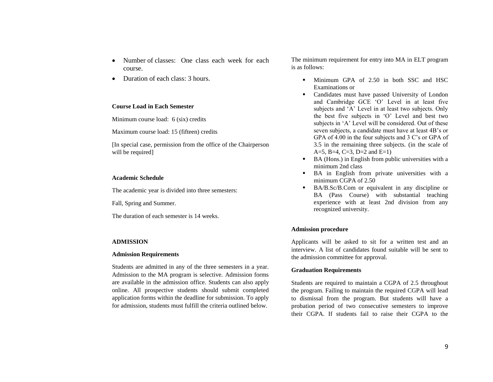- Number of classes: One class each week for each course.
- Duration of each class: 3 hours.

#### **Course Load in Each Semester**

Minimum course load: 6 (six) credits

Maximum course load: 15 (fifteen) credits

[In special case, permission from the office of the Chairperson will be required]

#### **Academic Schedule**

The academic year is divided into three semesters:

Fall, Spring and Summer.

The duration of each semester is 14 weeks.

#### **ADMISSION**

#### **Admission Requirements**

Students are admitted in any of the three semesters in a year. Admission to the MA program is selective. Admission forms are available in the admission office. Students can also apply online. All prospective students should submit completed application forms within the deadline for submission. To apply for admission, students must fulfill the criteria outlined below.

The minimum requirement for entry into MA in ELT program is as follows:

- Minimum GPA of 2.50 in both SSC and HSC Examinations or
- Candidates must have passed University of London and Cambridge GCE 'O' Level in at least five subjects and 'A' Level in at least two subjects. Only the best five subjects in 'O' Level and best two subjects in 'A' Level will be considered. Out of these seven subjects, a candidate must have at least 4B's or GPA of 4.00 in the four subjects and 3 C's or GPA of 3.5 in the remaining three subjects. (in the scale of A=5, B=4, C=3, D=2 and E=1)
- BA (Hons.) in English from public universities with a minimum 2nd class
- BA in English from private universities with a minimum CGPA of 2.50
- BA/B.Sc/B.Com or equivalent in any discipline or BA (Pass Course) with substantial teaching experience with at least 2nd division from any recognized university.

#### **Admission procedure**

Applicants will be asked to sit for a written test and an interview. A list of candidates found suitable will be sent to the admission committee for approval.

#### **Graduation Requirements**

Students are required to maintain a CGPA of 2.5 throughout the program. Failing to maintain the required CGPA will lead to dismissal from the program. But students will have a probation period of two consecutive semesters to improve their CGPA. If students fail to raise their CGPA to the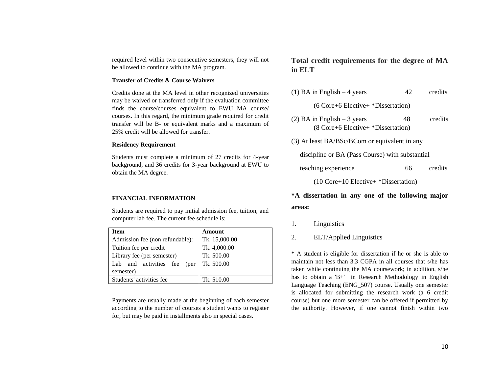required level within two consecutive semesters, they will not be allowed to continue with the MA program.

#### **Transfer of Credits & Course Waivers**

Credits done at the MA level in other recognized universities may be waived or transferred only if the evaluation committee finds the course/courses equivalent to EWU MA course/ courses. In this regard, the minimum grade required for credit transfer will be B- or equivalent marks and a maximum of 25% credit will be allowed for transfer.

#### **Residency Requirement**

Students must complete a minimum of 27 credits for 4-year background, and 36 credits for 3-year background at EWU to obtain the MA degree.

#### **FINANCIAL INFORMATION**

Students are required to pay initial admission fee, tuition, and computer lab fee. The current fee schedule is:

| Item                                        | Amount        |
|---------------------------------------------|---------------|
| Admission fee (non refundable):             | Tk. 15,000.00 |
| Tuition fee per credit                      | Tk. 4,000.00  |
| Library fee (per semester)                  | Tk. 500.00    |
| Lab and activities fee<br>(per<br>semester) | Tk. 500.00    |
| Students' activities fee                    | Tk. 510.00    |

Payments are usually made at the beginning of each semester according to the number of courses a student wants to register for, but may be paid in installments also in special cases.

# **Total credit requirements for the degree of MA in ELT**

- (1) BA in English  $-4$  years 42 credits (6 Core+6 Elective+ \*Dissertation)
- (2) BA in English 3 years 48 credits (8 Core+6 Elective+ \*Dissertation)
- (3) At least BA/BSc/BCom or equivalent in any

discipline or BA (Pass Course) with substantial

teaching experience 66 credits

(10 Core+10 Elective+ \*Dissertation)

# **\*A dissertation in any one of the following major areas:**

- 1. Linguistics
- 2. ELT/Applied Linguistics

\* A student is eligible for dissertation if he or she is able to maintain not less than 3.3 CGPA in all courses that s/he has taken while continuing the MA coursework; in addition, s/he has to obtain a 'B+' in Research Methodology in English Language Teaching (ENG\_507) course. Usually one semester is allocated for submitting the research work (a 6 credit course) but one more semester can be offered if permitted by the authority. However, if one cannot finish within two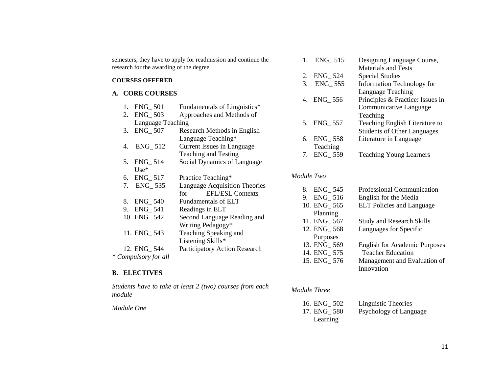|                        | research for the awarding of the degree.                      | semesters, they have to apply for readmission and continue the                                                   | 1.                        | ENG_515                                                           | Designing Language Course,<br><b>Materials and Tests</b>                                         |
|------------------------|---------------------------------------------------------------|------------------------------------------------------------------------------------------------------------------|---------------------------|-------------------------------------------------------------------|--------------------------------------------------------------------------------------------------|
| <b>COURSES OFFERED</b> |                                                               | 2.<br>3.                                                                                                         | ENG_524<br><b>ENG_555</b> | <b>Special Studies</b><br>Information Technology for              |                                                                                                  |
|                        | A. CORE COURSES                                               |                                                                                                                  |                           | 4. ENG_556                                                        | Language Teaching<br>Principles & Practice: Issues in                                            |
|                        | <b>ENG_501</b><br><b>ENG_503</b><br>2.                        | Fundamentals of Linguistics*<br>Approaches and Methods of                                                        |                           |                                                                   | Communicative Language<br>Teaching                                                               |
|                        | Language Teaching<br><b>ENG_507</b><br>3.                     | Research Methods in English                                                                                      | 5.                        | ENG_557                                                           | Teaching English Literature to<br><b>Students of Other Languages</b>                             |
|                        | ENG_512<br>4.                                                 | Language Teaching*<br>Current Issues in Language                                                                 | 6.                        | ENG_558<br>Teaching                                               | Literature in Language                                                                           |
|                        | $ENG_{-}514$<br>5.<br>$Use*$                                  | Teaching and Testing<br>Social Dynamics of Language                                                              | 7.                        | <b>ENG_559</b>                                                    | <b>Teaching Young Learners</b>                                                                   |
|                        | <b>ENG_517</b><br>6.                                          | Practice Teaching*                                                                                               | Module Two                |                                                                   |                                                                                                  |
|                        | ENG_535<br>7.<br><b>ENG_540</b><br>8.<br><b>ENG_541</b><br>9. | <b>Language Acquisition Theories</b><br><b>EFL/ESL Contexts</b><br>for<br>Fundamentals of ELT<br>Readings in ELT | 8.<br>9.                  | ENG_545<br>ENG_516<br>10. ENG_565<br>Planning                     | Professional Communication<br>English for the Media<br><b>ELT</b> Policies and Language          |
|                        | 10. ENG_542<br>11. ENG_543                                    | Second Language Reading and<br>Writing Pedagogy*<br>Teaching Speaking and                                        |                           | 11. ENG_567<br>12. ENG_568                                        | <b>Study and Research Skills</b><br>Languages for Specific                                       |
|                        | 12. ENG <sub>_544</sub><br>* Compulsory for all               | Listening Skills*<br>Participatory Action Research                                                               |                           | Purposes<br>13. ENG <sub>-569</sub><br>14. ENG_575<br>15. ENG_576 | <b>English for Academic Purposes</b><br><b>Teacher Education</b><br>Management and Evaluation of |
|                        | <b>DI DOMIVIDO</b>                                            |                                                                                                                  |                           |                                                                   | Innovation                                                                                       |

# **B. ELECTIVES**

*Students have to take at least 2 (two) courses from each module*

*Module One*

# *Module Three*

| 16. ENG_502 | Linguistic Theories    |
|-------------|------------------------|
| 17. ENG 580 | Psychology of Language |
| Learning    |                        |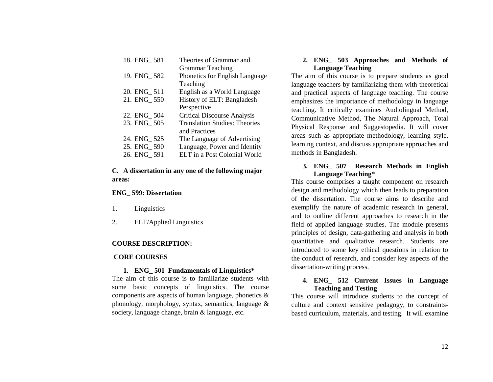| 18. ENG 581 | Theories of Grammar and               |
|-------------|---------------------------------------|
|             | <b>Grammar Teaching</b>               |
| 19. ENG 582 | <b>Phonetics for English Language</b> |
|             | Teaching                              |
| 20. ENG 511 | English as a World Language           |
| 21. ENG 550 | History of ELT: Bangladesh            |
|             | Perspective                           |
| 22. ENG 504 | <b>Critical Discourse Analysis</b>    |
| 23. ENG 505 | <b>Translation Studies: Theories</b>  |
|             | and Practices                         |
| 24. ENG_525 | The Language of Advertising           |
| 25. ENG 590 | Language, Power and Identity          |
| 26. ENG 591 | ELT in a Post Colonial World          |
|             |                                       |

# **C. A dissertation in any one of the following major areas:**

# **ENG\_ 599: Dissertation**

- 1. Linguistics
- 2. ELT/Applied Linguistics

# **COURSE DESCRIPTION:**

## **CORE COURSES**

# **1. ENG\_ 501 Fundamentals of Linguistics\***

The aim of this course is to familiarize students with some basic concepts of linguistics. The course components are aspects of human language, phonetics & phonology, morphology, syntax, semantics, language & society, language change, brain & language, etc.

# **2. ENG\_ 503 Approaches and Methods of Language Teaching**

The aim of this course is to prepare students as good language teachers by familiarizing them with theoretical and practical aspects of language teaching. The course emphasizes the importance of methodology in language teaching. It critically examines Audiolingual Method, Communicative Method, The Natural Approach, Total Physical Response and Suggestopedia. It will cover areas such as appropriate methodology, learning style, learning context, and discuss appropriate approaches and methods in Bangladesh.

# **3. ENG\_ 507 Research Methods in English Language Teaching\***

This course comprises a taught component on research design and methodology which then leads to preparation of the dissertation. The course aims to describe and exemplify the nature of academic research in general, and to outline different approaches to research in the field of applied language studies. The module presents principles of design, data-gathering and analysis in both quantitative and qualitative research. Students are introduced to some key ethical questions in relation to the conduct of research, and consider key aspects of the dissertation-writing process.

# **4. ENG\_ 512 Current Issues in Language Teaching and Testing**

This course will introduce students to the concept of culture and context sensitive pedagogy, to constraintsbased curriculum, materials, and testing. It will examine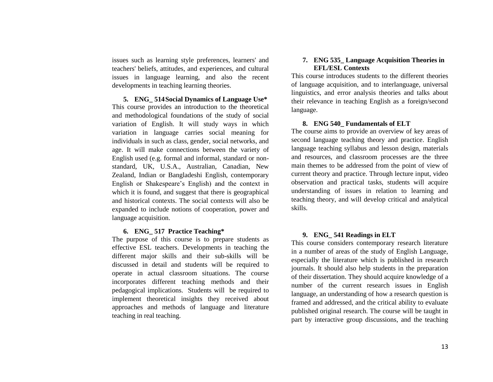issues such as learning style preferences, learners' and teachers' beliefs, attitudes, and experiences, and cultural issues in language learning, and also the recent developments in teaching learning theories.

**5. ENG\_ 514Social Dynamics of Language Use\*** This course provides an introduction to the theoretical and methodological foundations of the study of social variation of English. It will study ways in which variation in language carries social meaning for individuals in such as class, gender, social networks, and age. It will make connections between the variety of English used (e.g. formal and informal, standard or nonstandard, UK, U.S.A., Australian, Canadian, New Zealand, Indian or Bangladeshi English, contemporary English or Shakespeare's English) and the context in which it is found, and suggest that there is geographical and historical contexts. The social contexts will also be expanded to include notions of cooperation, power and language acquisition.

### **6. ENG\_ 517 Practice Teaching\***

The purpose of this course is to prepare students as effective ESL teachers. Developments in teaching the different major skills and their sub-skills will be discussed in detail and students will be required to operate in actual classroom situations. The course incorporates different teaching methods and their pedagogical implications. Students will be required to implement theoretical insights they received about approaches and methods of language and literature teaching in real teaching.

## **7. ENG 535\_ Language Acquisition Theories in EFL/ESL Contexts**

This course introduces students to the different theories of language acquisition, and to interlanguage, universal linguistics, and error analysis theories and talks about their relevance in teaching English as a foreign/second language.

### **8. ENG 540\_ Fundamentals of ELT**

The course aims to provide an overview of key areas of second language teaching theory and practice. English language teaching syllabus and lesson design, materials and resources, and classroom processes are the three main themes to be addressed from the point of view of current theory and practice. Through lecture input, video observation and practical tasks, students will acquire understanding of issues in relation to learning and teaching theory, and will develop critical and analytical skills.

# **9. ENG\_ 541 Readings in ELT**

This course considers contemporary research literature in a number of areas of the study of English Language, especially the literature which is published in research journals. It should also help students in the preparation of their dissertation. They should acquire knowledge of a number of the current research issues in English language, an understanding of how a research question is framed and addressed, and the critical ability to evaluate published original research. The course will be taught in part by interactive group discussions, and the teaching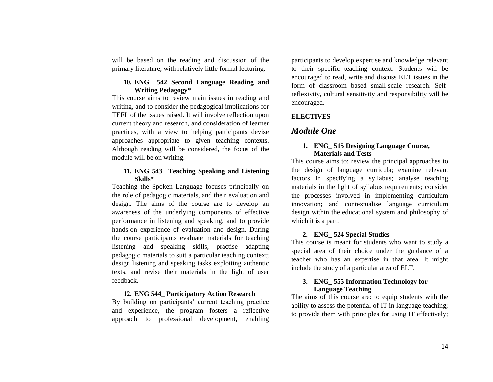will be based on the reading and discussion of the primary literature, with relatively little formal lecturing.

# **10. ENG\_ 542 Second Language Reading and Writing Pedagogy\***

This course aims to review main issues in reading and writing, and to consider the pedagogical implications for TEFL of the issues raised. It will involve reflection upon current theory and research, and consideration of learner practices, with a view to helping participants devise approaches appropriate to given teaching contexts. Although reading will be considered, the focus of the module will be on writing.

# **11. ENG 543\_ Teaching Speaking and Listening Skills\***

Teaching the Spoken Language focuses principally on the role of pedagogic materials, and their evaluation and design. The aims of the course are to develop an awareness of the underlying components of effective performance in listening and speaking, and to provide hands-on experience of evaluation and design. During the course participants evaluate materials for teaching listening and speaking skills, practise adapting pedagogic materials to suit a particular teaching context; design listening and speaking tasks exploiting authentic texts, and revise their materials in the light of user feedback.

# **12. ENG 544\_ Participatory Action Research**

By building on participants' current teaching practice and experience, the program fosters a reflective approach to professional development, enabling

participants to develop expertise and knowledge relevant to their specific teaching context. Students will be encouraged to read, write and discuss ELT issues in the form of classroom based small-scale research. Selfreflexivity, cultural sensitivity and responsibility will be encouraged.

# **ELECTIVES**

# *Module One*

# **1. ENG\_ 515 Designing Language Course, Materials and Tests**

This course aims to: review the principal approaches to the design of language curricula; examine relevant factors in specifying a syllabus; analyse teaching materials in the light of syllabus requirements; consider the processes involved in implementing curriculum innovation; and contextualise language curriculum design within the educational system and philosophy of which it is a part.

# **2. ENG\_ 524 Special Studies**

This course is meant for students who want to study a special area of their choice under the guidance of a teacher who has an expertise in that area. It might include the study of a particular area of ELT.

# **3. ENG\_ 555 Information Technology for Language Teaching**

The aims of this course are: to equip students with the ability to assess the potential of IT in language teaching; to provide them with principles for using IT effectively;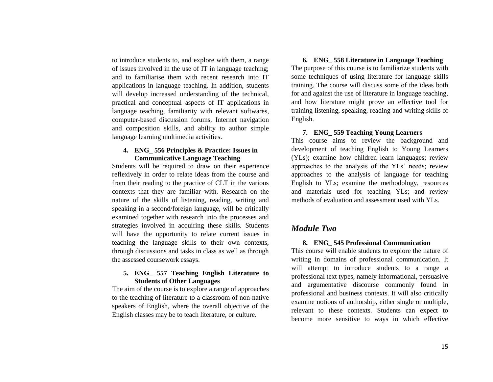to introduce students to, and explore with them, a range of issues involved in the use of IT in language teaching; and to familiarise them with recent research into IT applications in language teaching. In addition, students will develop increased understanding of the technical, practical and conceptual aspects of IT applications in language teaching, familiarity with relevant softwares, computer-based discussion forums, Internet navigation and composition skills, and ability to author simple language learning multimedia activities.

# **4. ENG\_ 556 Principles & Practice: Issues in Communicative Language Teaching**

Students will be required to draw on their experience reflexively in order to relate ideas from the course and from their reading to the practice of CLT in the various contexts that they are familiar with. Research on the nature of the skills of listening, reading, writing and speaking in a second/foreign language, will be critically examined together with research into the processes and strategies involved in acquiring these skills. Students will have the opportunity to relate current issues in teaching the language skills to their own contexts, through discussions and tasks in class as well as through the assessed coursework essays.

# **5. ENG\_ 557 Teaching English Literature to Students of Other Languages**

The aim of the course is to explore a range of approaches to the teaching of literature to a classroom of non-native speakers of English, where the overall objective of the English classes may be to teach literature, or culture.

**6. ENG\_ 558 Literature in Language Teaching**  The purpose of this course is to familiarize students with some techniques of using literature for language skills training. The course will discuss some of the ideas both for and against the use of literature in language teaching, and how literature might prove an effective tool for training listening, speaking, reading and writing skills of English.

## **7. ENG\_ 559 Teaching Young Learners**

This course aims to review the background and development of teaching English to Young Learners (YLs); examine how children learn languages; review approaches to the analysis of the YLs' needs; review approaches to the analysis of language for teaching English to YLs; examine the methodology, resources and materials used for teaching YLs; and review methods of evaluation and assessment used with YLs.

# *Module Two*

### **8. ENG\_ 545 Professional Communication**

This course will enable students to explore the nature of writing in domains of professional communication. It will attempt to introduce students to a range a professional text types, namely informational, persuasive and argumentative discourse commonly found in professional and business contexts. It will also critically examine notions of authorship, either single or multiple, relevant to these contexts. Students can expect to become more sensitive to ways in which effective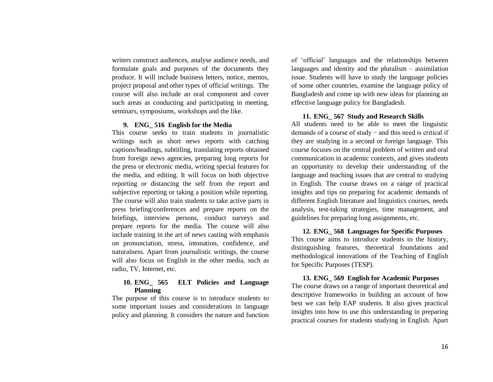writers construct audiences, analyse audience needs, and formulate goals and purposes of the documents they produce. It will include business letters, notice, memos, project proposal and other types of official writings. The course will also include an oral component and cover such areas as conducting and participating in meeting, seminars, symposiums, workshops and the like.

## **9. ENG\_ 516 English for the Media**

This course seeks to train students in journalistic writings such as short news reports with catching captions/headings, subtitling, translating reports obtained from foreign news agencies, preparing long reports for the press or electronic media, writing special features for the media, and editing. It will focus on both objective reporting or distancing the self from the report and subjective reporting or taking a position while reporting. The course will also train students to take active parts in press briefing/conferences and prepare reports on the briefings, interview persons, conduct surveys and prepare reports for the media. The course will also include training in the art of news casting with emphasis on pronunciation, stress, intonation, confidence, and naturalness. Apart from journalistic writings, the course will also focus on English in the other media, such as radio, TV, Internet, etc.

## **10. ENG\_ 565 ELT Policies and Language Planning**

The purpose of this course is to introduce students to some important issues and considerations in language policy and planning. It considers the nature and function of 'official' languages and the relationships between languages and identity and the pluralism – assimilation issue. Students will have to study the language policies of some other countries, examine the language policy of Bangladesh and come up with new ideas for planning an effective language policy for Bangladesh.

### **11. ENG\_ 567 Study and Research Skills**

All students need to be able to meet the linguistic demands of a course of study − and this need is critical if they are studying in a second or foreign language. This course focuses on the central problem of written and oral communication in academic contexts, and gives students an opportunity to develop their understanding of the language and teaching issues that are central to studying in English. The course draws on a range of practical insights and tips on preparing for academic demands of different English literature and linguistics courses, needs analysis, test-taking strategies, time management, and guidelines for preparing long assignments, etc.

# **12. ENG\_ 568 Languages for Specific Purposes**  This course aims to introduce students to the history, distinguishing features, theoretical foundations and methodological innovations of the Teaching of English for Specific Purposes (TESP).

## **13. ENG\_ 569 English for Academic Purposes**

The course draws on a range of important theoretical and descriptive frameworks in building an account of how best we can help EAP students. It also gives practical insights into how to use this understanding in preparing practical courses for students studying in English. Apart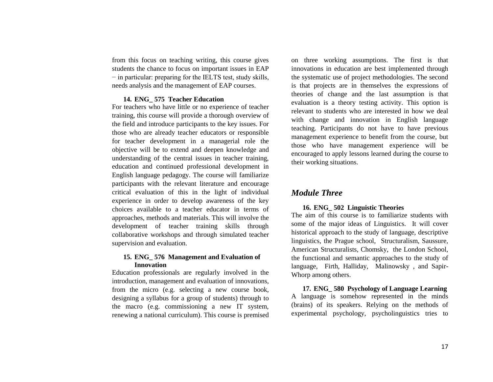from this focus on teaching writing, this course gives students the chance to focus on important issues in EAP − in particular: preparing for the IELTS test, study skills, needs analysis and the management of EAP courses.

# **14. ENG\_ 575 Teacher Education**

For teachers who have little or no experience of teacher training, this course will provide a thorough overview of the field and introduce participants to the key issues. For those who are already teacher educators or responsible for teacher development in a managerial role the objective will be to extend and deepen knowledge and understanding of the central issues in teacher training, education and continued professional development in English language pedagogy. The course will familiarize participants with the relevant literature and encourage critical evaluation of this in the light of individual experience in order to develop awareness of the key choices available to a teacher educator in terms of approaches, methods and materials. This will involve the development of teacher training skills through collaborative workshops and through simulated teacher supervision and evaluation.

# **15. ENG\_ 576 Management and Evaluation of Innovation**

Education professionals are regularly involved in the introduction, management and evaluation of innovations, from the micro (e.g. selecting a new course book, designing a syllabus for a group of students) through to the macro (e.g. commissioning a new IT system, renewing a national curriculum). This course is premised on three working assumptions. The first is that innovations in education are best implemented through the systematic use of project methodologies. The second is that projects are in themselves the expressions of theories of change and the last assumption is that evaluation is a theory testing activity. This option is relevant to students who are interested in how we deal with change and innovation in English language teaching. Participants do not have to have previous management experience to benefit from the course, but those who have management experience will be encouraged to apply lessons learned during the course to their working situations.

# *Module Three*

## **16. ENG\_ 502 Linguistic Theories**

The aim of this course is to familiarize students with some of the major ideas of Linguistics. It will cover historical approach to the study of language, descriptive linguistics, the Prague school, Structuralism, Saussure, American Structuralists, Chomsky, the London School, the functional and semantic approaches to the study of language, Firth, Halliday, Malinowsky , and Sapir-Whorp among others.

**17. ENG\_ 580 Psychology of Language Learning** A language is somehow represented in the minds (brains) of its speakers. Relying on the methods of experimental psychology, psycholinguistics tries to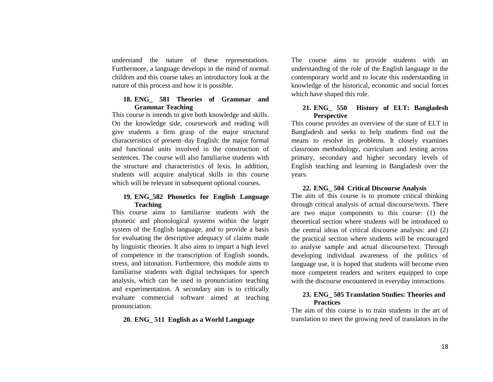understand the nature of these representations. Furthermore, a language develops in the mind of normal children and this course takes an introductory look at the nature of this process and how it is possible.

# **18. ENG\_ 581 Theories of Grammar and Grammar Teaching**

This course is intends to give both knowledge and skills. On the knowledge side, coursework and reading will give students a firm grasp of the major structural characteristics of present–day English: the major formal and functional units involved in the construction of sentences. The course will also familiarise students with the structure and characteristics of lexis. In addition, students will acquire analytical skills in this course which will be relevant in subsequent optional courses.

# **19. ENG\_582 Phonetics for English Language Teaching**

This course aims to familiarise students with the phonetic and phonological systems within the larger system of the English language, and to provide a basis for evaluating the descriptive adequacy of claims made by linguistic theories. It also aims to impart a high level of competence in the transcription of English sounds, stress, and intonation. Furthermore, this module aims to familiarise students with digital techniques for speech analysis, which can be used in pronunciation teaching and experimentation. A secondary aim is to critically evaluate commercial software aimed at teaching pronunciation.

# **20. ENG\_ 511 English as a World Language**

The course aims to provide students with an understanding of the role of the English language in the contemporary world and to locate this understanding in knowledge of the historical, economic and social forces which have shaped this role.

# **21. ENG\_ 550 History of ELT: Bangladesh Perspective**

This course provides an overview of the state of ELT in Bangladesh and seeks to help students find out the means to resolve its problems. It closely examines classroom methodology, curriculum and testing across primary, secondary and higher secondary levels of English teaching and learning in Bangladesh over the years.

# **22. ENG\_ 504 Critical Discourse Analysis**

The aim of this course is to promote critical thinking through critical analysis of actual discourse/texts. There are two major components to this course: (1) the theoretical section where students will be introduced to the central ideas of critical discourse analysis: and (2) the practical section where students will be encouraged to analyse sample and actual discourse/text. Through developing individual awareness of the politics of language use, it is hoped that students will become even more competent readers and writers equipped to cope with the discourse encountered in everyday interactions.

# **23. ENG\_ 505 Translation Studies: Theories and Practices**

The aim of this course is to train students in the art of translation to meet the growing need of translators in the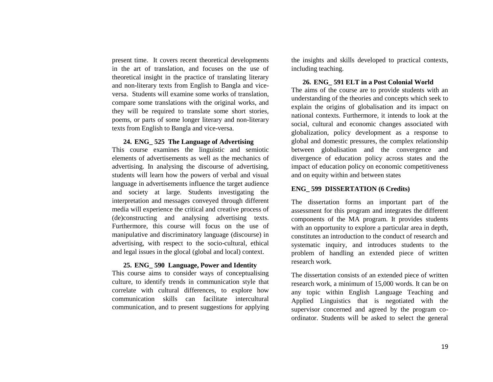present time. It covers recent theoretical developments in the art of translation, and focuses on the use of theoretical insight in the practice of translating literary and non-literary texts from English to Bangla and viceversa. Students will examine some works of translation, compare some translations with the original works, and they will be required to translate some short stories, poems, or parts of some longer literary and non-literary texts from English to Bangla and vice-versa.

## **24. ENG\_ 525 The Language of Advertising**

This course examines the linguistic and semiotic elements of advertisements as well as the mechanics of advertising. In analysing the discourse of advertising, students will learn how the powers of verbal and visual language in advertisements influence the target audience and society at large. Students investigating the interpretation and messages conveyed through different media will experience the critical and creative process of (de)constructing and analysing advertising texts. Furthermore, this course will focus on the use of manipulative and discriminatory language (discourse) in advertising, with respect to the socio-cultural, ethical and legal issues in the glocal (global and local) context.

# **25. ENG\_ 590 Language, Power and Identity**

This course aims to consider ways of conceptualising culture, to identify trends in communication style that correlate with cultural differences, to explore how communication skills can facilitate intercultural communication, and to present suggestions for applying

the insights and skills developed to practical contexts, including teaching.

# **26. ENG\_ 591 ELT in a Post Colonial World**

The aims of the course are to provide students with an understanding of the theories and concepts which seek to explain the origins of globalisation and its impact on national contexts. Furthermore, it intends to look at the social, cultural and economic changes associated with globalization, policy development as a response to global and domestic pressures, the complex relationship between globalisation and the convergence and divergence of education policy across states and the impact of education policy on economic competitiveness and on equity within and between states

# **ENG\_ 599 DISSERTATION (6 Credits)**

The dissertation forms an important part of the assessment for this program and integrates the different components of the MA program. It provides students with an opportunity to explore a particular area in depth, constitutes an introduction to the conduct of research and systematic inquiry, and introduces students to the problem of handling an extended piece of written research work.

The dissertation consists of an extended piece of written research work, a minimum of 15,000 words. It can be on any topic within English Language Teaching and Applied Linguistics that is negotiated with the supervisor concerned and agreed by the program coordinator. Students will be asked to select the general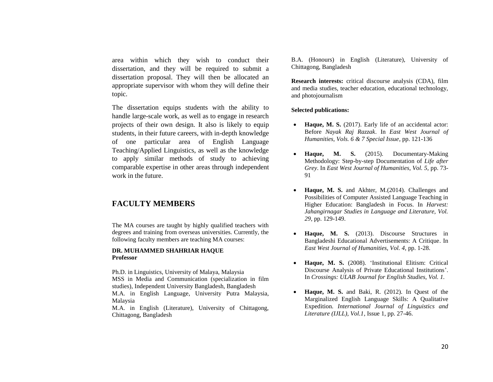area within which they wish to conduct their dissertation, and they will be required to submit a dissertation proposal. They will then be allocated an appropriate supervisor with whom they will define their topic.

The dissertation equips students with the ability to handle large-scale work, as well as to engage in research projects of their own design. It also is likely to equip students, in their future careers, with in-depth knowledge of one particular area of English Language Teaching/Applied Linguistics, as well as the knowledge to apply similar methods of study to achieving comparable expertise in other areas through independent work in the future.

# **FACULTY MEMBERS**

The MA courses are taught by highly qualified teachers with degrees and training from overseas universities. Currently, the following faculty members are teaching MA courses:

### **DR. MUHAMMED SHAHRIAR HAQUE Professor**

Ph.D. in Linguistics, University of Malaya, Malaysia MSS in Media and Communication (specialization in film studies), Independent University Bangladesh, Bangladesh M.A. in English Language, University Putra Malaysia, Malaysia M.A. in English (Literature), University of Chittagong, Chittagong, Bangladesh

B.A. (Honours) in English (Literature), University of Chittagong, Bangladesh

**Research interests:** critical discourse analysis (CDA), film and media studies, teacher education, educational technology, and photojournalism

### **Selected publications:**

- Haque, M. S.  $(2017)$ . Early life of an accidental actor: Before *Nayak Raj Razzak*. In *East West Journal of Humanities, Vols. 6 & 7 Special Issue*, pp. 121-136
- **Haque, M. S.** (2015). Documentary-Making Methodology: Step-by-step Documentation of *Life after Grey*. In *East West Journal of Humanities, Vol. 5,* pp. 73- 91
- **Haque, M. S.** and Akhter, M.(2014). Challenges and Possibilities of Computer Assisted Language Teaching in Higher Education: Bangladesh in Focus. In *Harvest: Jahangirnagar Studies in Language and Literature, Vol. 29*, pp. 129-149.
- **Haque, M. S.** (2013). Discourse Structures in Bangladeshi Educational Advertisements: A Critique. In *East West Journal of Humanities, Vol. 4,* pp. 1-28.
- **Haque, M. S.** (2008). 'Institutional Elitism: Critical Discourse Analysis of Private Educational Institutions'. In *Crossings: ULAB Journal for English Studies, Vol. 1.*
- **Haque, M. S.** and Baki, R. (2012). In Quest of the Marginalized English Language Skills: A Qualitative Expedition. *International Journal of Linguistics and Literature (IJLL), Vol.1*, Issue 1, pp. 27-46.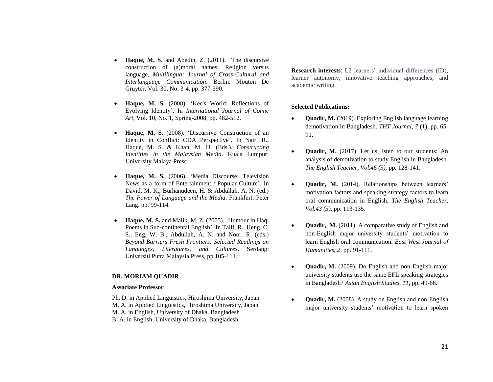- **Haque, M. S.** and Abedin, Z. (2011). The discursive construction of (a)moral names: Religion versus language, *Multilingua: Journal of Cross-Cultural and Interlanguage Communication*. Berlin: Mouton De Gruyter, Vol. 30, No. 3-4, pp. 377-390.
- **Haque, M. S.** (2008). 'Kee's World: Reflections of Evolving Identity'. In *International Journal of Comic Art*, Vol. 10, No. 1, Spring-2008, pp. 482-512.
- **Haque, M. S.** (2008). 'Discursive Construction of an Identity in Conflict: CDA Perspective'. In Nair, R., Haque, M. S. & Khan, M. H. (Eds.). *Constructing Identities in the Malaysian Media*. Kuala Lumpur: University Malaya Press.
- **Haque, M. S.** (2006). 'Media Discourse: Television News as a form of Entertainment / Popular Culture'. In David, M. K., Burhanudeen, H. & Abdullah, A. N. (ed.) *The Power of Language and the Media*. Frankfurt: Peter Lang. pp. 99-114.
- **Haque, M. S.** and Malik, M. Z. (2005). 'Humour in Haq: Poems in Sub-continental English'. In Talif, R., Heng, C. S., Eng, W. B., Abdullah, A. N. and Noor. R. (eds.) *Beyond Barriers Fresh Frontiers: Selected Readings on Languages, Literatures, and Cultures*. Serdang: Universiti Putra Malaysia Press, pp 105-111.

#### **DR. MORIAM QUADIR**

### **Associate Professor**

Ph. D. in Applied Linguistics, Hiroshima University, Japan M. A. in Applied Linguistics, Hiroshima University, Japan M. A. in English, University of Dhaka. Bangladesh B. A. in English, University of Dhaka. Bangladesh

**Research interests**: L2 learners' individual differences (ID), learner autonomy, innovative teaching approaches, and academic writing.

### **Selected Publications:**

- **Quadir, M.** (2019). Exploring English language learning demotivation in Bangladesh. *THT Journal, 7* (1)*,* pp. 65- 91.
- **Quadir, M.** (2017). Let us listen to our students: An analysis of demotivation to study English in Bangladesh. *The English Teacher, Vol.46 (3),* pp. 128-141.
- **Quadir, M.** (2014). Relationships between learners' motivation factors and speaking strategy factors to learn oral communication in English. *The English Teacher, Vol.43 (3),* pp. 113-135.
- **Quadir, M.** (2011). A comparative study of English and non-English major university students' motivation to learn English oral communication. *East West Journal of Humanities, 2,* pp. 91-111.
- **Quadir, M.** (2009). Do English and non-English major university students use the same EFL speaking strategies in Bangladesh? *Asian English Studies, 11*, pp. 49-68.
- **Quadir, M.** (2008). A study on English and non-English major university students' motivation to learn spoken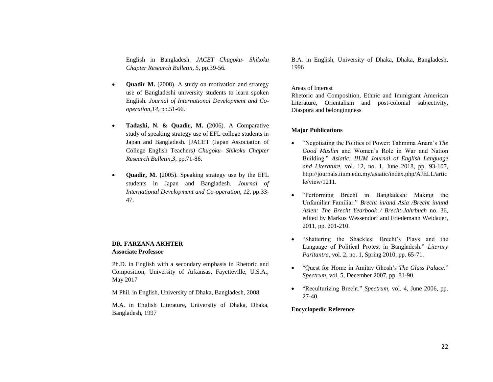English in Bangladesh. *JACET Chugoku- Shikoku Chapter Research Bulletin, 5,* pp.39-56*.*

- **Quadir M.** (2008). A study on motivation and strategy use of Bangladeshi university students to learn spoken English. *Journal of International Development and Cooperation,14,* pp.51-66.
- **Tadashi, N. & Quadir, M.** (2006). A Comparative study of speaking strategy use of EFL college students in Japan and Bangladesh. [JACET (Japan Association of College English Teachers*) Chugoku- Shikoku Chapter Research Bulletin,3*, pp.71-86.
- **Quadir, M. (**2005). Speaking strategy use by the EFL students in Japan and Bangladesh. *Journal of International Development and Co-operation, 12,* pp.33- 47.

### **DR. FARZANA AKHTER Associate Professor**

Ph.D. in English with a secondary emphasis in Rhetoric and Composition, University of Arkansas, Fayetteville, U.S.A., May 2017

M Phil. in English, University of Dhaka, Bangladesh, 2008

M.A. in English Literature, University of Dhaka, Dhaka, Bangladesh, 1997

B.A. in English, University of Dhaka, Dhaka, Bangladesh, 1996

### Areas of Interest

Rhetoric and Composition, Ethnic and Immigrant American Literature, Orientalism and post-colonial subjectivity, Diaspora and belongingness

## **Major Publications**

- "Negotiating the Politics of Power: Tahmima Anam's *The Good Muslim* and Women's Role in War and Nation Building." *Asiatic: IIUM Journal of English Language and Literature,* vol. 12, no. 1, June 2018, pp. 93-107, http://journals.iium.edu.my/asiatic/index.php/AJELL/artic le/view/1211.
- "Performing Brecht in Bangladesh: Making the Unfamiliar Familiar." *Brecht in/and Asia /Brecht in/und Asien: [The Brecht Yearbook / Brecht-Jahrbuch](http://uwpress.wisc.edu/books/5069.htm)* no. 36, edited by Markus Wessendorf and Friedemann Weidauer, [2011,](http://uwpress.wisc.edu/books/5069.htm) pp. 201-210.
- "Shattering the Shackles: Brecht's Plays and the Language of Political Protest in Bangladesh." *Literary Paritantra*, vol. 2, no. 1, Spring 2010, pp. 65-71.
- "Quest for Home in Amitav Ghosh's *The Glass Palace*." *Spectrum*, vol. 5, December 2007, pp. 81-90.
- "Reculturizing Brecht." *Spectrum*, vol. 4, June 2006, pp. 27-40.

### **Encyclopedic Reference**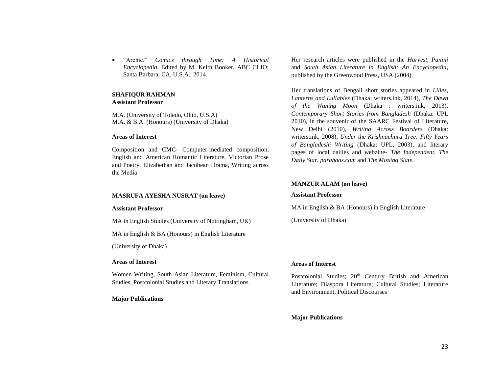"Archie." *Comics through Time: A Historical Encyclopedia*. Edited by M. Keith Booker, ABC CLIO: Santa Barbara, CA, U.S.A., 2014.

### **SHAFIQUR RAHMAN Assistant Professor**

M.A. (University of Toledo, Ohio, U.S.A) M.A. & B.A. (Honours) (University of Dhaka)

## **Areas of Interest**

Composition and CMC- Computer-mediated composition, English and American Romantic Literature, Victorian Prose and Poetry, Elizabethan and Jacobean Drama, Writing across the Media

## **MASRUFA AYESHA NUSRAT (on leave)**

### **Assistant Professor**

MA in English Studies (University of Nottingham, UK)

MA in English & BA (Honours) in English Literature

(University of Dhaka)

## **Areas of Interest**

Women Writing, South Asian Literature, Feminism, Cultural Studies, Postcolonial Studies and Literary Translations.

## **Major Publications**

Her research articles were published in the *Harvest, Panini*  and *South Asian Literature in English: An Encyclopedia*, published by the Greenwood Press, USA (2004).

Her translations of Bengali short stories appeared in *Lilies, Lanterns and Lullabies* (Dhaka: writers.ink, 2014), *The Dawn of the Waning Moon* (Dhaka : writers.ink, 2013), *Contemporary Short Stories from Bangladesh* (Dhaka: UPL 2010), in the souvenir of the SAARC Festival of Literature, New Delhi (2010), *Writing Across Boarders* (Dhaka: writers.ink, 2008), *Under the Krishnachura Tree: Fifty Years of Bangladeshi Writing* (Dhaka: UPL, 2003), and literary pages of local dailies and webzine- *The Independent, The Daily Star*, *[parabaas.com](http://parabaas.com/)* and *The Missing Slate.*

# **MANZUR ALAM (on leave)**

## **Assistant Professor**

MA in English & BA (Honours) in English Literature

(University of Dhaka)

# **Areas of Interest**

Postcolonial Studies; 20<sup>th</sup> Century British and American Literature; Diaspora Literature; Cultural Studies; Literature and Environment; Political Discourses

# **Major Publications**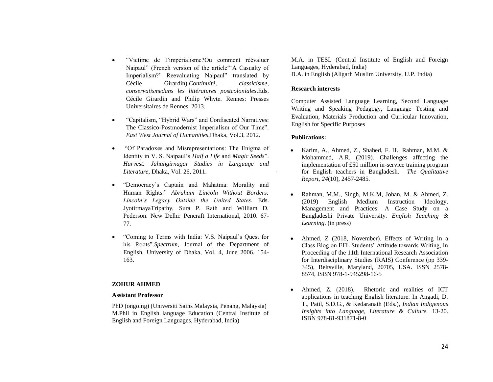- "Victime de l'impérialisme?Ou comment réévaluer Naipaul" (French version of the article"'A Casualty of Imperialism?' Reevaluating Naipaul" translated by Cécile Girardin).*Continuité, classicisme, conservatismedans les littératures postcoloniales*.Eds. Cécile Girardin and Philip Whyte. Rennes: Presses Universitaires de Rennes, 2013.
- "Capitalism, "Hybrid Wars" and Confiscated Narratives: The Classico-Postmodernist Imperialism of Our Time". *East West Journal of Humanities,*Dhaka, Vol.3, 2012.
- "Of Paradoxes and Misrepresentations: The Enigma of Identity in V. S. Naipaul's *Half a Life* and *Magic Seeds*". *Harvest: Jahangirnagar Studies in Language and Literature*, Dhaka, Vol. 26, 2011.
- "Democracy's Captain and Mahatma: Morality and Human Rights." *Abraham Lincoln Without Borders: Lincoln's Legacy Outside the United States*. Eds. JyotirmayaTripathy, Sura P. Rath and William D. Pederson. New Delhi: Pencraft International, 2010. 67- 77.
- "Coming to Terms with India: V.S. Naipaul's Quest for his Roots".*Spectrum*, Journal of the Department of English, University of Dhaka, Vol. 4, June 2006. 154- 163.

#### **ZOHUR AHMED**

#### **Assistant Professor**

PhD (ongoing) (Universiti Sains Malaysia, Penang, Malaysia) M.Phil in English language Education (Central Institute of English and Foreign Languages, Hyderabad, India)

M.A. in TESL (Central Institute of English and Foreign Languages, Hyderabad, India) B.A. in English (Aligarh Muslim University, U.P. India)

### **Research interests**

Computer Assisted Language Learning, Second Language Writing and Speaking Pedagogy, Language Testing and Evaluation, Materials Production and Curricular Innovation, English for Specific Purposes

#### **Publications:**

- Karim, A., Ahmed, Z., Shahed, F. H., Rahman, M.M. & Mohammed, A.R. (2019). Challenges affecting the implementation of £50 million in-service training program for English teachers in Bangladesh. *The Qualitative Report, 24*(10), 2457-2485.
- Rahman, M.M., Singh, M.K.M, Johan, M. & Ahmed, Z. (2019) English Medium Instruction Ideology, Management and Practices: A Case Study on a Bangladeshi Private University. *English Teaching & Learning*. (in press)
- Ahmed, Z (2018, November). Effects of Writing in a Class Blog on EFL Students' Attitude towards Writing, In Proceeding of the 11th International Research Association for Interdisciplinary Studies (RAIS) Conference (pp 339- 345), Beltsville, Maryland, 20705, USA. ISSN 2578- 8574, ISBN 978-1-945298-16-5
- Ahmed, Z. (2018). Rhetoric and realities of ICT applications in teaching English literature. In Angadi, D. T., Patil, S.D.G., & Kedaranath (Eds.), *Indian Indigenous Insights into Language, Literature & Culture.* 13-20. ISBN 978-81-931871-8-0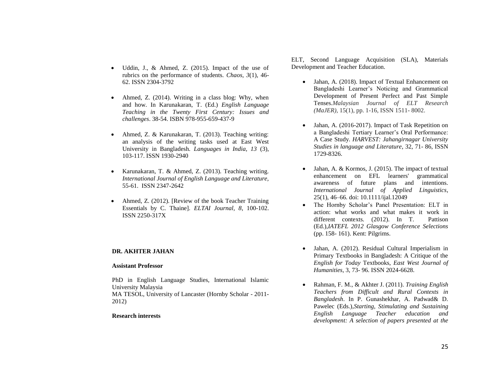- Uddin, J., & Ahmed, Z. (2015). Impact of the use of rubrics on the performance of students. *Chaos, 3*(1), 46- 62. ISSN 2304-3792
- Ahmed, Z. (2014). Writing in a class blog: Why, when and how. In Karunakaran, T. (Ed.) *English Language Teaching in the Twenty First Century: Issues and challenges*. 38-54. ISBN 978-955-659-437-9
- Ahmed, Z. & Karunakaran, T. (2013). Teaching writing: an analysis of the writing tasks used at East West University in Bangladesh. *Languages in India, 13* (3), 103-117. ISSN 1930-2940
- Karunakaran, T. & Ahmed, Z. (2013). Teaching writing. *International Journal of English Language and Literature,* 55-61. ISSN 2347-2642
- Ahmed, Z. (2012). [Review of the book Teacher Training Essentials by C. Thaine]. *ELTAI Journal, 8*, 100-102. ISSN 2250-317X

### **DR. AKHTER JAHAN**

#### **Assistant Professor**

PhD in English Language Studies, International Islamic University Malaysia MA TESOL, University of Lancaster (Hornby Scholar - 2011- 2012)

#### **Research interests**

ELT, Second Language Acquisition (SLA), Materials Development and Teacher Education.

- Jahan, A. (2018). Impact of Textual Enhancement on Bangladeshi Learner's Noticing and Grammatical Development of Present Perfect and Past Simple Tenses.*Malaysian Journal of ELT Research (MaJER)*, 15(1), pp. 1-16, ISSN 1511- 8002.
- Jahan, A. (2016-2017). Impact of Task Repetition on a Bangladeshi Tertiary Learner's Oral Performance: A Case Study*. HARVEST: Jahangirnagar University Studies in language and Literature*, 32, 71- 86, ISSN 1729-8326.
- Jahan, A. & Kormos, J. (2015). The impact of textual enhancement on EFL learners' grammatical awareness of future plans and intentions. *International Journal of Applied Linguistics*, 25(1), 46–66. doi: 10.1111/ijal.12049
- The Hornby Scholar's Panel Presentation: ELT in action: what works and what makes it work in different contexts*.* (2012). In T. Pattison (Ed.),*IATEFL 2012 Glasgow Conference Selections*  (pp. 158- 161). Kent: Pilgrims.
- Jahan, A. (2012). Residual Cultural Imperialism in Primary Textbooks in Bangladesh: A Critique of the *English for Today* Textbooks, *East West Journal of Humanities*, 3, 73- 96. ISSN 2024-6628.
- Rahman, F. M., & Akhter J. (2011). *Training English Teachers from Difficult and Rural Contexts in Bangladesh*. In P. Gunashekhar, A. Padwad& D. Pawelec (Eds.),*Starting, Stimulating and Sustaining English Language Teacher education and development: A selection of papers presented at the*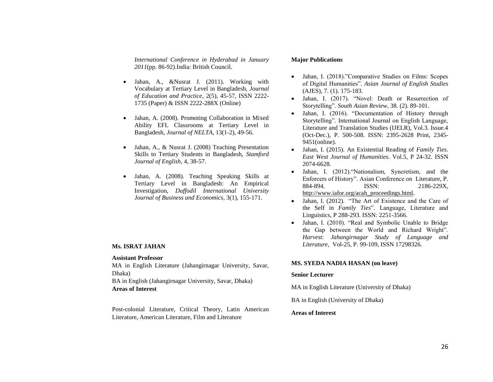*International Conference in Hyderabad in January 2011*(pp. 86-92).India: British Council.

- Jahan, A., &Nusrat J. (2011). Working with Vocabulary at Tertiary Level in Bangladesh, *Journal of Education and Practice*, 2(5), 45-57, ISSN 2222- 1735 (Paper) & ISSN 2222-288X (Online)
- Jahan, A. (2008). Promoting Collaboration in Mixed Ability EFL Classrooms at Tertiary Level in Bangladesh, *Journal of NELTA*, 13(1-2), 49-56.
- Jahan, A., & Nusrat J. (2008) Teaching Presentation Skills to Tertiary Students in Bangladesh, *Stamford Journal of English*, 4, 38-57.
- Jahan, A. (2008). Teaching Speaking Skills at Tertiary Level in Bangladesh: An Empirical Investigation, *Daffodil International University Journal of Business and Economics*, 3(1), 155-171.

### **Ms. ISRAT JAHAN**

#### **Assistant Professor**

MA in English Literature (Jahangirnagar University, Savar, Dhaka)

BA in English (Jahangirnagar University, Savar, Dhaka) **Areas of Interest**

Post-colonial Literature, Critical Theory, Latin American Literature, American Literature, Film and Literature

#### **Major Publications**

- Jahan, I. (2018)."Comparative Studies on Films: Scopes of Digital Humanities". *Asian Journal of English Studies* (AJES), 7. (1). 175-183.
- Jahan, I. (2017). "Novel: Death or Resurrection of Storytelling". *South Asian Review*, 38. (2). 89-101.
- Jahan, I. (2016). "Documentation of History through Storytelling". International Journal on English Language, Literature and Translation Studies (IJELR), Vol.3. Issue.4 (Oct-Dec.), P. 500-508. ISSN: 2395-2628 Print, 2345- 9451(online).
- Jahan, I. (2015). An Existential Reading of *Family Ties*. *East West Journal of Humanities*. Vol.5, P 24-32. ISSN 2074-6628.
- Jahan, I. (2012)."Nationalism, Syncretism, and the Enforcers of History". Asian Conference on Literature, P. 884-894. ISSN: 2186-229X, [http://www.iafor.org/acah\\_proceedings.html.](http://www.iafor.org/acah_proceedings.html)
- Jahan, I. (2012). "The Art of Existence and the Care of the Self in *Family Ties*". Language, Literature and Linguistics, P 288-293. ISSN: 2251-3566.
- Jahan, I. (2010). "Real and Symbolic Unable to Bridge the Gap between the World and Richard Wright". *Harvest*: *Jahangirnagar Study of Language and Literature,* Vol-25, P. 99-109, ISSN 17298326.

#### **MS. SYEDA NADIA HASAN (on leave)**

#### **Senior Lecturer**

MA in English Literature (University of Dhaka)

BA in English (University of Dhaka)

### **Areas of Interest**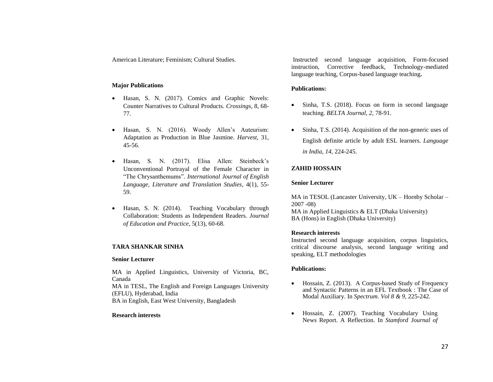American Literature; Feminism; Cultural Studies.

#### **Major Publications**

- Hasan, S. N. (2017). Comics and Graphic Novels: Counter Narratives to Cultural Products. *Crossings*, 8, 68- 77.
- Hasan, S. N. (2016). Woody Allen's Auteurism: Adaptation as Production in Blue Jasmine. *Harvest*, 31, 45-56.
- Hasan, S. N. (2017). Elisa Allen: Steinbeck's Unconventional Portrayal of the Female Character in "The Chrysanthemums". *International Journal of English Language, Literature and Translation Studies*, 4(1), 55- 59.
- Hasan, S. N. (2014). Teaching Vocabulary through Collaboration: Students as Independent Readers. *Journal of Education and Practice*, 5(13), 60-68.

#### **TARA SHANKAR SINHA**

#### **Senior Lecturer**

MA in Applied Linguistics, University of Victoria, BC, Canada MA in TESL, The English and Foreign Languages University (EFLU), Hyderabad, India BA in English, East West University, Bangladesh

#### **Research interests**

Instructed second language acquisition, Form-focused instruction, Corrective feedback, Technology-mediated language teaching, Corpus-based language teaching**.**

#### **Publications:**

- Sinha, T.S. (2018). Focus on form in second language teaching. *BELTA Journal, 2,* 78-91.
- Sinha, T.S. (2014). Acquisition of the non-generic uses of English definite article by adult ESL learners. *Language in India, 14,* 224-245.

### **ZAHID HOSSAIN**

#### **Senior Lecturer**

MA in TESOL (Lancaster University, UK – Hornby Scholar – 2007 -08) MA in Applied Linguistics & ELT (Dhaka University) BA (Hons) in English (Dhaka University)

#### **Research interests**

Instructed second language acquisition, corpus linguistics, critical discourse analysis, second language writing and speaking, ELT methodologies

#### **Publications:**

- Hossain, Z. (2013). A Corpus-based Study of Frequency and Syntactic Patterns in an EFL Textbook : The Case of Modal Auxiliary. In *Spectrum. Vol 8 & 9*, 225-242.
- Hossain, Z. (2007). Teaching Vocabulary Using News Report. A Reflection. In *Stamford Journal of*